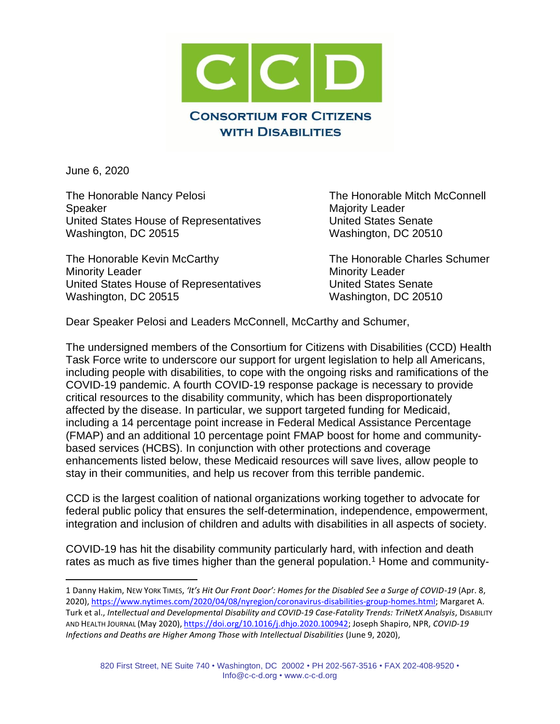

June 6, 2020

The Honorable Nancy Pelosi **The Honorable Mitch McConnell** Speaker Majority Leader United States House of Representatives United States Senate Washington, DC 20515 Washington, DC 20510

The Honorable Kevin McCarthy The Honorable Charles Schumer Minority Leader **Minority Leader** Minority Leader United States House of Representatives United States Senate Washington, DC 20515 Washington, DC 20510

Dear Speaker Pelosi and Leaders McConnell, McCarthy and Schumer,

The undersigned members of the Consortium for Citizens with Disabilities (CCD) Health Task Force write to underscore our support for urgent legislation to help all Americans, including people with disabilities, to cope with the ongoing risks and ramifications of the COVID-19 pandemic. A fourth COVID-19 response package is necessary to provide critical resources to the disability community, which has been disproportionately affected by the disease. In particular, we support targeted funding for Medicaid, including a 14 percentage point increase in Federal Medical Assistance Percentage (FMAP) and an additional 10 percentage point FMAP boost for home and communitybased services (HCBS). In conjunction with other protections and coverage enhancements listed below, these Medicaid resources will save lives, allow people to stay in their communities, and help us recover from this terrible pandemic.

CCD is the largest coalition of national organizations working together to advocate for federal public policy that ensures the self-determination, independence, empowerment, integration and inclusion of children and adults with disabilities in all aspects of society.

COVID-19 has hit the disability community particularly hard, with infection and death rates as much as five times higher than the general population.<sup>1</sup> Home and community-

1 Danny Hakim, NEW YORK TIMES, *'It's Hit Our Front Door': Homes for the Disabled See a Surge of COVID-19* (Apr. 8, 2020), [https://www.nytimes.com/2020/04/08/nyregion/coronavirus-disabilities-group-homes.html;](https://www.nytimes.com/2020/04/08/nyregion/coronavirus-disabilities-group-homes.html) Margaret A. Turk et al., *Intellectual and Developmental Disability and COVID-19 Case-Fatality Trends: TriNetX Analsyis*, DISABILITY AND HEALTH JOURNAL (May 2020), [https://doi.org/10.1016/j.dhjo.2020.100942;](https://doi.org/10.1016/j.dhjo.2020.100942) Joseph Shapiro, NPR, *COVID-19 Infections and Deaths are Higher Among Those with Intellectual Disabilities* (June 9, 2020),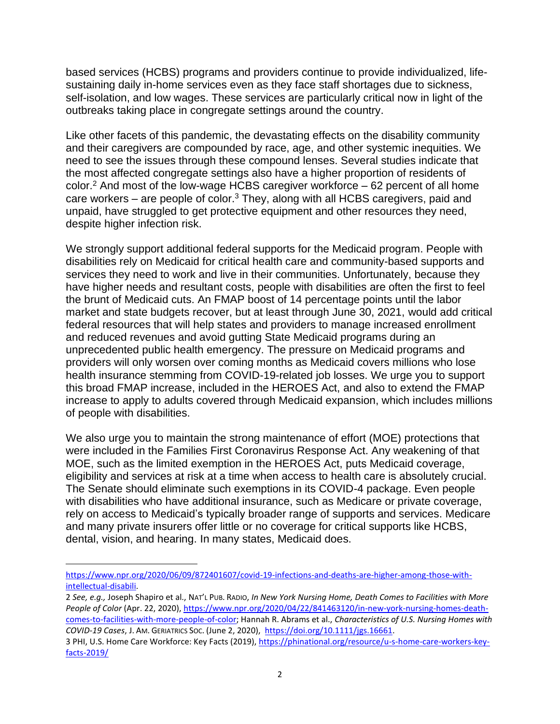based services (HCBS) programs and providers continue to provide individualized, lifesustaining daily in-home services even as they face staff shortages due to sickness, self-isolation, and low wages. These services are particularly critical now in light of the outbreaks taking place in congregate settings around the country.

Like other facets of this pandemic, the devastating effects on the disability community and their caregivers are compounded by race, age, and other systemic inequities. We need to see the issues through these compound lenses. Several studies indicate that the most affected congregate settings also have a higher proportion of residents of color.<sup>2</sup> And most of the low-wage HCBS caregiver workforce – 62 percent of all home care workers – are people of color.<sup>3</sup> They, along with all HCBS caregivers, paid and unpaid, have struggled to get protective equipment and other resources they need, despite higher infection risk.

We strongly support additional federal supports for the Medicaid program. People with disabilities rely on Medicaid for critical health care and community-based supports and services they need to work and live in their communities. Unfortunately, because they have higher needs and resultant costs, people with disabilities are often the first to feel the brunt of Medicaid cuts. An FMAP boost of 14 percentage points until the labor market and state budgets recover, but at least through June 30, 2021, would add critical federal resources that will help states and providers to manage increased enrollment and reduced revenues and avoid gutting State Medicaid programs during an unprecedented public health emergency. The pressure on Medicaid programs and providers will only worsen over coming months as Medicaid covers millions who lose health insurance stemming from COVID-19-related job losses. We urge you to support this broad FMAP increase, included in the HEROES Act, and also to extend the FMAP increase to apply to adults covered through Medicaid expansion, which includes millions of people with disabilities.

We also urge you to maintain the strong maintenance of effort (MOE) protections that were included in the Families First Coronavirus Response Act. Any weakening of that MOE, such as the limited exemption in the HEROES Act, puts Medicaid coverage, eligibility and services at risk at a time when access to health care is absolutely crucial. The Senate should eliminate such exemptions in its COVID-4 package. Even people with disabilities who have additional insurance, such as Medicare or private coverage, rely on access to Medicaid's typically broader range of supports and services. Medicare and many private insurers offer little or no coverage for critical supports like HCBS, dental, vision, and hearing. In many states, Medicaid does.

[https://www.npr.org/2020/06/09/872401607/covid-19-infections-and-deaths-are-higher-among-those-with](https://www.npr.org/2020/06/09/872401607/covid-19-infections-and-deaths-are-higher-among-those-with-intellectual-disabili)[intellectual-disabili.](https://www.npr.org/2020/06/09/872401607/covid-19-infections-and-deaths-are-higher-among-those-with-intellectual-disabili)

<sup>2</sup> *See, e.g.,* Joseph Shapiro et al., NAT'L PUB. RADIO, *In New York Nursing Home, Death Comes to Facilities with More People of Color* (Apr. 22, 2020), [https://www.npr.org/2020/04/22/841463120/in-new-york-nursing-homes-death](https://www.npr.org/2020/04/22/841463120/in-new-york-nursing-homes-death-comes-to-facilities-with-more-people-of-color)[comes-to-facilities-with-more-people-of-color;](https://www.npr.org/2020/04/22/841463120/in-new-york-nursing-homes-death-comes-to-facilities-with-more-people-of-color) Hannah R. Abrams et al., *Characteristics of U.S. Nursing Homes with COVID-19 Cases*, J. AM. GERIATRICS SOC. (June 2, 2020), [https://doi.org/10.1111/jgs.16661.](https://doi.org/10.1111/jgs.16661) 

<sup>3</sup> PHI, U.S. Home Care Workforce: Key Facts (2019), [https://phinational.org/resource/u-s-home-care-workers-key](https://phinational.org/resource/u-s-home-care-workers-key-facts-2019/)[facts-2019/](https://phinational.org/resource/u-s-home-care-workers-key-facts-2019/)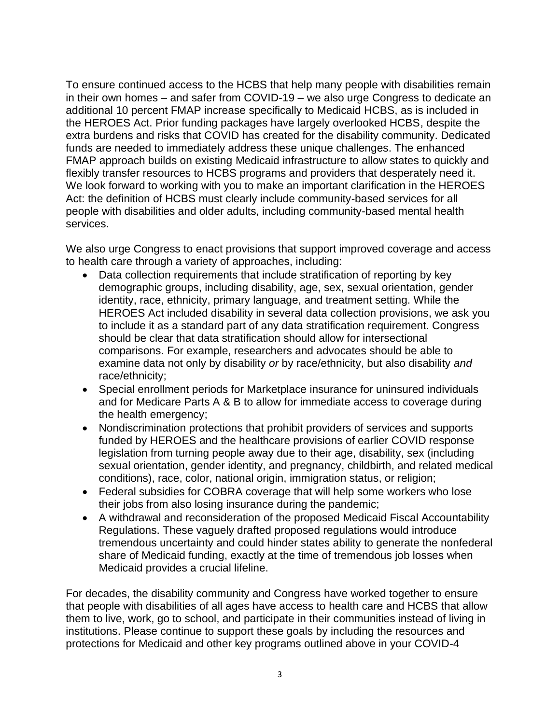To ensure continued access to the HCBS that help many people with disabilities remain in their own homes – and safer from COVID-19 – we also urge Congress to dedicate an additional 10 percent FMAP increase specifically to Medicaid HCBS, as is included in the HEROES Act. Prior funding packages have largely overlooked HCBS, despite the extra burdens and risks that COVID has created for the disability community. Dedicated funds are needed to immediately address these unique challenges. The enhanced FMAP approach builds on existing Medicaid infrastructure to allow states to quickly and flexibly transfer resources to HCBS programs and providers that desperately need it. We look forward to working with you to make an important clarification in the HEROES Act: the definition of HCBS must clearly include community-based services for all people with disabilities and older adults, including community-based mental health services.

We also urge Congress to enact provisions that support improved coverage and access to health care through a variety of approaches, including:

- Data collection requirements that include stratification of reporting by key demographic groups, including disability, age, sex, sexual orientation, gender identity, race, ethnicity, primary language, and treatment setting. While the HEROES Act included disability in several data collection provisions, we ask you to include it as a standard part of any data stratification requirement. Congress should be clear that data stratification should allow for intersectional comparisons. For example, researchers and advocates should be able to examine data not only by disability *or* by race/ethnicity, but also disability *and*  race/ethnicity;
- Special enrollment periods for Marketplace insurance for uninsured individuals and for Medicare Parts A & B to allow for immediate access to coverage during the health emergency;
- Nondiscrimination protections that prohibit providers of services and supports funded by HEROES and the healthcare provisions of earlier COVID response legislation from turning people away due to their age, disability, sex (including sexual orientation, gender identity, and pregnancy, childbirth, and related medical conditions), race, color, national origin, immigration status, or religion;
- Federal subsidies for COBRA coverage that will help some workers who lose their jobs from also losing insurance during the pandemic;
- A withdrawal and reconsideration of the proposed Medicaid Fiscal Accountability Regulations. These vaguely drafted proposed regulations would introduce tremendous uncertainty and could hinder states ability to generate the nonfederal share of Medicaid funding, exactly at the time of tremendous job losses when Medicaid provides a crucial lifeline.

For decades, the disability community and Congress have worked together to ensure that people with disabilities of all ages have access to health care and HCBS that allow them to live, work, go to school, and participate in their communities instead of living in institutions. Please continue to support these goals by including the resources and protections for Medicaid and other key programs outlined above in your COVID-4